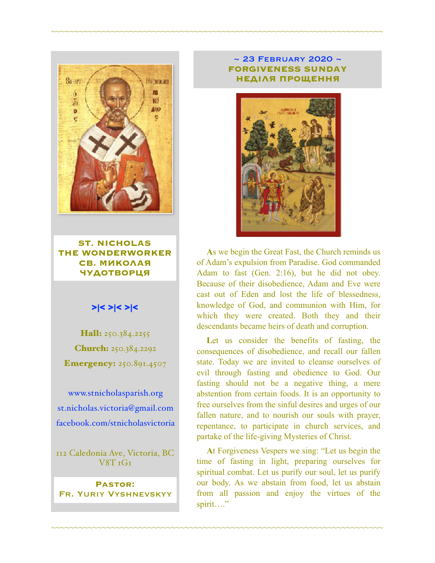

**ST. NICHOLAS THE WONDERWORKER СВ. МИКОЛАЯ ЧУДОТВОРЦЯ**

### >|< >|< >|<

Hall: 250.384.2255 Church: 250.384.2292 **Emergency:** 250.891.4507

[www.stnicholasparish.org](http://www.stnicholasparish.org) [st.nicholas.victoria@gmail.com](mailto:st.nicholas.victoria@gmail.com) [facebook.com/stnicholasvictoria](http://facebook.com/stnicholasvictoria)

112 Caledonia Ave, Victoria, BC V8T 1G1

**Pastor:**  Fr. Yuriy Vyshnevskyy

#### ~ 23 February 2020 ~ **FORGIVENESS SUNDAY НЕДІЛЯ ПРОЩЕННЯ**

~~~~~~~~~~~~~~~~~~~~~~~~~~~~~~~~~~~~~~~~~~~~~~~~~~~~~~~~~~~~~~~~~~~~~~~~



**A**s we begin the Great Fast, the Church reminds us of Adam's expulsion from Paradise. God commanded Adam to fast (Gen. 2:16), but he did not obey. Because of their disobedience, Adam and Eve were cast out of Eden and lost the life of blessedness, knowledge of God, and communion with Him, for which they were created. Both they and their descendants became heirs of death and corruption.

Let us consider the benefits of fasting, the consequences of disobedience, and recall our fallen state. Today we are invited to cleanse ourselves of evil through fasting and obedience to God. Our fasting should not be a negative thing, a mere abstention from certain foods. It is an opportunity to free ourselves from the sinful desires and urges of our fallen nature, and to nourish our souls with prayer, repentance, to participate in church services, and partake of the life-giving Mysteries of Christ.

**A**t Forgiveness Vespers we sing: "Let us begin the time of fasting in light, preparing ourselves for spiritual combat. Let us purify our soul, let us purify our body. As we abstain from food, let us abstain from all passion and enjoy the virtues of the spirit…."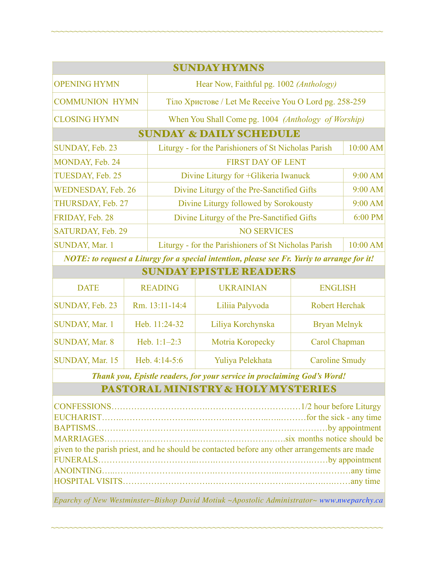| <b>SUNDAY HYMNS</b>                |                                                       |           |  |  |
|------------------------------------|-------------------------------------------------------|-----------|--|--|
| <b>OPENING HYMN</b>                | Hear Now, Faithful pg. 1002 (Anthology)               |           |  |  |
| <b>COMMUNION HYMN</b>              | Тіло Христове / Let Me Receive You O Lord pg. 258-259 |           |  |  |
| <b>CLOSING HYMN</b>                | When You Shall Come pg. 1004 (Anthology of Worship)   |           |  |  |
| <b>SUNDAY &amp; DAILY SCHEDULE</b> |                                                       |           |  |  |
| SUNDAY, Feb. 23                    | Liturgy - for the Parishioners of St Nicholas Parish  | 10:00 AM  |  |  |
| MONDAY, Feb. 24                    | <b>FIRST DAY OF LENT</b>                              |           |  |  |
| TUESDAY, Feb. 25                   | Divine Liturgy for +Glikeria Iwanuck                  | 9:00 AM   |  |  |
| <b>WEDNESDAY, Feb. 26</b>          | Divine Liturgy of the Pre-Sanctified Gifts            | $9:00$ AM |  |  |
| THURSDAY, Feb. 27                  | Divine Liturgy followed by Sorokousty                 | 9:00 AM   |  |  |
| FRIDAY, Feb. 28                    | Divine Liturgy of the Pre-Sanctified Gifts            | 6:00 PM   |  |  |
| SATURDAY, Feb. 29                  | <b>NO SERVICES</b>                                    |           |  |  |
| SUNDAY, Mar. 1                     | Liturgy - for the Parishioners of St Nicholas Parish  | 10:00 AM  |  |  |

~~~~~~~~~~~~~~~~~~~~~~~~~~~~~~~~~~~~~~~~~~~~~~~~~~~~~~~~~~~~~~~~~~~~~~~~

*NOTE: to request a Liturgy for a special intention, please see Fr. Yuriy to arrange for it!*

| <b>SUNDAY EPISTLE READERS</b> |                 |                   |                       |  |
|-------------------------------|-----------------|-------------------|-----------------------|--|
| <b>DATE</b>                   | <b>READING</b>  | <b>UKRAINIAN</b>  | <b>ENGLISH</b>        |  |
| SUNDAY, Feb. 23               | Rm. 13:11-14:4  | Liliia Palyvoda   | <b>Robert Herchak</b> |  |
| <b>SUNDAY, Mar. 1</b>         | Heb. 11:24-32   | Liliya Korchynska | <b>Bryan Melnyk</b>   |  |
| <b>SUNDAY, Mar. 8</b>         | Heb. $1:1-2:3$  | Motria Koropecky  | Carol Chapman         |  |
| SUNDAY, Mar. 15               | Heb. $4:14-5:6$ | Yuliya Pelekhata  | <b>Caroline Smudy</b> |  |

*Thank you, Epistle readers, for your service in proclaiming God's Word!*

### PASTORAL MINISTRY & HOLY MYSTERIES

| given to the parish priest, and he should be contacted before any other arrangements are made |  |  |
|-----------------------------------------------------------------------------------------------|--|--|
|                                                                                               |  |  |
|                                                                                               |  |  |
|                                                                                               |  |  |
|                                                                                               |  |  |

*Eparchy of New Westminster~Bishop David Motiuk ~Apostolic Administrator~ [www.nweparchy.ca](http://www.nweparchy.ca)*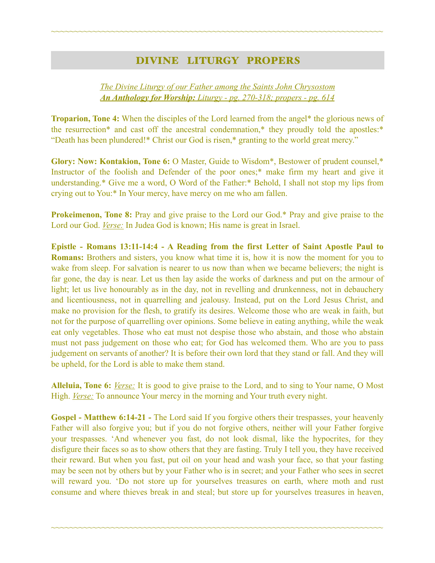## DIVINE LITURGY PROPERS

~~~~~~~~~~~~~~~~~~~~~~~~~~~~~~~~~~~~~~~~~~~~~~~~~~~~~~~~~~~~~~~~~~~~~~~~

### *The Divine Liturgy of our Father among the Saints John Chrysostom An Anthology for Worship: Liturgy - pg. 270-318; propers - pg. 614*

**Troparion, Tone 4:** When the disciples of the Lord learned from the angel\* the glorious news of the resurrection\* and cast off the ancestral condemnation,\* they proudly told the apostles:\* "Death has been plundered!\* Christ our God is risen,\* granting to the world great mercy."

**Glory: Now: Kontakion, Tone 6:** O Master, Guide to Wisdom\*, Bestower of prudent counsel,\* Instructor of the foolish and Defender of the poor ones;\* make firm my heart and give it understanding.\* Give me a word, O Word of the Father:\* Behold, I shall not stop my lips from crying out to You:\* In Your mercy, have mercy on me who am fallen.

**Prokeimenon, Tone 8:** Pray and give praise to the Lord our God.\* Pray and give praise to the Lord our God. *Verse:* In Judea God is known; His name is great in Israel.

**Epistle - Romans 13:11-14:4 - A Reading from the first Letter of Saint Apostle Paul to Romans:** Brothers and sisters, you know what time it is, how it is now the moment for you to wake from sleep. For salvation is nearer to us now than when we became believers; the night is far gone, the day is near. Let us then lay aside the works of darkness and put on the armour of light; let us live honourably as in the day, not in revelling and drunkenness, not in debauchery and licentiousness, not in quarrelling and jealousy. Instead, put on the Lord Jesus Christ, and make no provision for the flesh, to gratify its desires. Welcome those who are weak in faith, but not for the purpose of quarrelling over opinions. Some believe in eating anything, while the weak eat only vegetables. Those who eat must not despise those who abstain, and those who abstain must not pass judgement on those who eat; for God has welcomed them. Who are you to pass judgement on servants of another? It is before their own lord that they stand or fall. And they will be upheld, for the Lord is able to make them stand.

**Alleluia, Tone 6:** *Verse:* It is good to give praise to the Lord, and to sing to Your name, O Most High. *Verse:* To announce Your mercy in the morning and Your truth every night.

Gospel - Matthew 6:14-21 - The Lord said If you forgive others their trespasses, your heavenly Father will also forgive you; but if you do not forgive others, neither will your Father forgive your trespasses. 'And whenever you fast, do not look dismal, like the hypocrites, for they disfigure their faces so as to show others that they are fasting. Truly I tell you, they have received their reward. But when you fast, put oil on your head and wash your face, so that your fasting may be seen not by others but by your Father who is in secret; and your Father who sees in secret will reward you. 'Do not store up for yourselves treasures on earth, where moth and rust consume and where thieves break in and steal; but store up for yourselves treasures in heaven,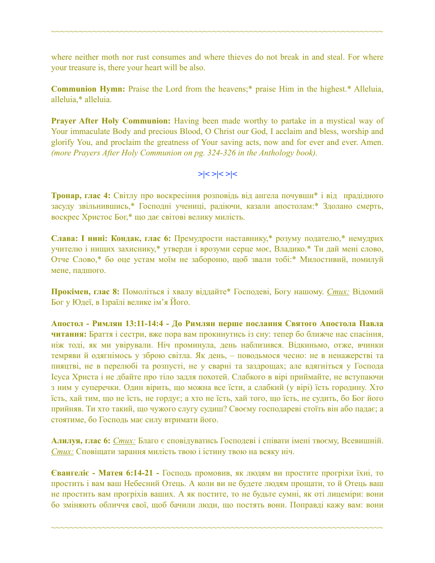where neither moth nor rust consumes and where thieves do not break in and steal. For where your treasure is, there your heart will be also.

~~~~~~~~~~~~~~~~~~~~~~~~~~~~~~~~~~~~~~~~~~~~~~~~~~~~~~~~~~~~~~~~~~~~~~~~

**Communion Hymn:** Praise the Lord from the heavens;\* praise Him in the highest.\* Alleluia, alleluia,\* alleluia.

**Prayer After Holy Communion:** Having been made worthy to partake in a mystical way of Your immaculate Body and precious Blood, O Christ our God, I acclaim and bless, worship and glorify You, and proclaim the greatness of Your saving acts, now and for ever and ever. Amen. *(more Prayers After Holy Communion on pg. 324-326 in the Anthology book).* 

$$
>\mid <>\mid < \mid <
$$

**Тропар, глас 4:** Світлу про воскресіння розповідь від ангела почувши\* і від прадідного засуду звільнившись,\* Господні учениці, радіючи, казали апостолам:\* Здолано смерть, воскрес Христос Бог,\* що дає світові велику милість.

**Слава: І нині: Кондак, глас 6:** Премудрости наставнику,\* розуму подателю,\* немудрих учителю і нищих захиснику,\* утверди і врозуми серце моє, Владико.\* Ти дай мені слово, Отче Слово,\* бо оце устам моїм не забороню, щоб звали тобі:\* Милостивий, помилуй мене, падшого.

**Прокімен, глас 8:** Помоліться і хвалу віддайте\* Господеві, Богу нашому. *Стих:* Відомий Бог у Юдеї, в Ізраїлі велике ім'я Його.

**Апостол - Римлян 13:11-14:4 - До Римлян перше послання Святого Апостола Павла читання:** Браття і сестри, вже пора вам прокинутись із сну: тепер бо ближче нас спасіння, ніж тоді, як ми увірували. Ніч проминула, день наблизився. Відкиньмо, отже, вчинки темряви й одягнімось у зброю світла. Як день, – поводьмося чесно: не в ненажерстві та пияцтві, не в перелюбі та розпусті, не у сварні та заздрощах; але вдягніться у Господа Ісуса Христа і не дбайте про тіло задля похотей. Слабкого в вірі приймайте, не вступаючи з ним у суперечки. Один вірить, що можна все їсти, а слабкий (у вірі) їсть городину. Хто їсть, хай тим, що не їсть, не гордує; а хто не їсть, хай того, що їсть, не судить, бо Бог його прийняв. Ти хто такий, що чужого слугу судиш? Своєму господареві стоїть він або падає; а стоятиме, бо Господь має силу втримати його.

**Алилуя, глас 6:** *Стих:* Благо є сповідуватись Господеві і співати імені твоєму, Всевишній. *Стих:* Сповіщати зарання милість твою і істину твою на всяку ніч.

**Євангеліє - Матея 6:14-21 -** Господь промовив, як людям ви простите прогріхи їхні, то простить і вам ваш Небесний Отець. А коли ви не будете людям прощати, то й Отець ваш не простить вам прогріхів ваших. А як постите, то не будьте сумні, як оті лицеміри: вони бо зміняють обличчя свої, щоб бачили люди, що постять вони. Поправді кажу вам: вони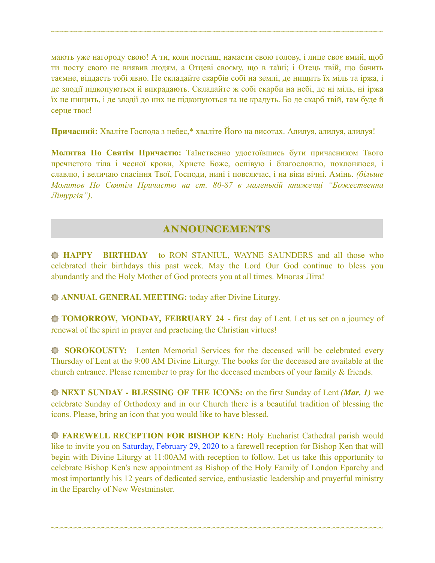мають уже нагороду свою! А ти, коли постиш, намасти свою голову, і лице своє вмий, щоб ти посту свого не виявив людям, а Отцеві своєму, що в таїні; і Отець твій, що бачить таємне, віддасть тобі явно. Не складайте скарбів собі на землі, де нищить їх міль та іржа, і де злодії підкопуються й викрадають. Складайте ж собі скарби на небі, де ні міль, ні іржа їх не нищить, і де злодії до них не підкопуються та не крадуть. Бо де скарб твій, там буде й серце твоє!

~~~~~~~~~~~~~~~~~~~~~~~~~~~~~~~~~~~~~~~~~~~~~~~~~~~~~~~~~~~~~~~~~~~~~~~~

**Причасний:** Хваліте Господа з небес,\* хваліте Його на висотах. Алилуя, aлилуя, aлилуя!

**Молитва По Святім Причастю:** Таїнственно удостоївшись бути причасником Твого пречистого тіла і чесної крови, Христе Боже, оспівую і благословлю, поклоняюся, і славлю, і величаю спасіння Твої, Господи, нині і повсякчас, і на віки вічні. Амінь. *(більше Молитов По Святім Причастю на ст. 80-87 в маленькій книжечці "Божественна Літургія")*.

## ANNOUNCEMENTS

**HAPPY BIRTHDAY** to RON STANIUL, WAYNE SAUNDERS and all those who celebrated their birthdays this past week. May the Lord Our God continue to bless you abundantly and the Holy Mother of God protects you at all times. Многая Літа!

**ANNUAL GENERAL MEETING:** today after Divine Liturgy.

**TOMORROW, MONDAY, FEBRUARY 24** - first day of Lent. Let us set on a journey of renewal of the spirit in prayer and practicing the Christian virtues!

**SOROKOUSTY:** Lenten Memorial Services for the deceased will be celebrated every Thursday of Lent at the 9:00 AM Divine Liturgy. The books for the deceased are available at the church entrance. Please remember to pray for the deceased members of your family & friends.

**NEXT SUNDAY - BLESSING OF THE ICONS:** on the first Sunday of Lent *(Mar. 1)* we celebrate Sunday of Orthodoxy and in our Church there is a beautiful tradition of blessing the icons. Please, bring an icon that you would like to have blessed.

**FAREWELL RECEPTION FOR BISHOP KEN:** Holy Eucharist Cathedral parish would like to invite you on Saturday, February 29, 2020 to a farewell reception for Bishop Ken that will begin with Divine Liturgy at 11:00AM with reception to follow. Let us take this opportunity to celebrate Bishop Ken's new appointment as Bishop of the Holy Family of London Eparchy and most importantly his 12 years of dedicated service, enthusiastic leadership and prayerful ministry in the Eparchy of New Westminster.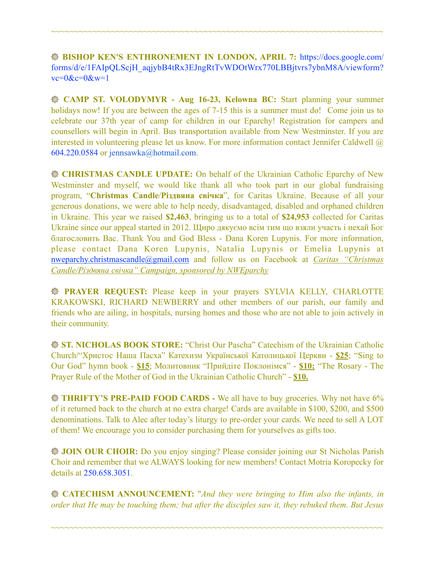**BISHOP KEN'S ENTHRONEMENT IN LONDON, APRIL 7:** [https://docs.google.com/](https://docs.google.com/forms/d/e/1FAIpQLScjH_aqjybB4tRx3EJngRtTvWDOtWrx770LBBjtvrs7ybnM8A/viewform?vc=0&c=0&w=1) [forms/d/e/1FAIpQLScjH\\_aqjybB4tRx3EJngRtTvWDOtWrx770LBBjtvrs7ybnM8A/viewform?](https://docs.google.com/forms/d/e/1FAIpQLScjH_aqjybB4tRx3EJngRtTvWDOtWrx770LBBjtvrs7ybnM8A/viewform?vc=0&c=0&w=1)  $vc=0$ & $c=0$ & $w=1$ 

~~~~~~~~~~~~~~~~~~~~~~~~~~~~~~~~~~~~~~~~~~~~~~~~~~~~~~~~~~~~~~~~~~~~~~~~

 **CAMP ST. VOLODYMYR - Aug 16-23, Kelowna BC:** Start planning your summer holidays now! If you are between the ages of 7-15 this is a summer must do! Come join us to celebrate our 37th year of camp for children in our Eparchy! Registration for campers and counsellors will begin in April. Bus transportation available from New Westminster. If you are interested in volunteering please let us know. For more information contact Jennifer Caldwell @ 604.220.0584 or [jennsawka@hotmail.com](mailto:jennsawka@hotmail.com).

**CHRISTMAS CANDLE UPDATE:** On behalf of the Ukrainian Catholic Eparchy of New Westminster and myself, we would like thank all who took part in our global fundraising program, "**Christmas Candle**/**Різдвяна свічка**", for Caritas Ukraine. Because of all your generous donations, we were able to help needy, disadvantaged, disabled and orphaned children in Ukraine. This year we raised **\$2,463**, bringing us to a total of **\$24,953** collected for Caritas Ukraine since our appeal started in 2012. Щиро дякуємо всім тим що взяли участь і нехай Бог благословить Вас. Thank You and God Bless - Dana Koren Lupynis. For more information, please contact Dana Koren Lupynis, Natalia Lupynis or Emelia Lupynis at [nweparchy.christmascandle@gmail.com](mailto:nweparchy.christmascandle@gmail.com) and follow us on Facebook at *Caritas "Christmas Candle/Різдвяна свічка" Campaign, sponsored by NWEparchy* 

**PRAYER REQUEST:** Please keep in your prayers SYLVIA KELLY, CHARLOTTE KRAKOWSKI, RICHARD NEWBERRY and other members of our parish, our family and friends who are ailing, in hospitals, nursing homes and those who are not able to join actively in their community.

**ST. NICHOLAS BOOK STORE:** "Christ Our Pascha" Catechism of the Ukrainian Catholic Church/"Христос Наша Пасха" Катехизм Української Католицької Церкви - **\$25**; "Sing to Our God" hymn book - **\$15**; Молитовник "Прийдіте Поклонімся" - **\$10;** "The Rosary - The Prayer Rule of the Mother of God in the Ukrainian Catholic Church" - **\$10.** 

**THRIFTY'S PRE-PAID FOOD CARDS -** We all have to buy groceries. Why not have 6% of it returned back to the church at no extra charge! Cards are available in \$100, \$200, and \$500 denominations. Talk to Alec after today's liturgy to pre-order your cards. We need to sell A LOT of them! We encourage you to consider purchasing them for yourselves as gifts too.

**JOIN OUR CHOIR:** Do you enjoy singing? Please consider joining our St Nicholas Parish Choir and remember that we ALWAYS looking for new members! Contact Motria Koropecky for details at 250.658.3051.

**CATECHISM ANNOUNCEMENT:** "*And they were bringing to Him also the infants, in order that He may be touching them; but after the disciples saw it, they rebuked them. But Jesus*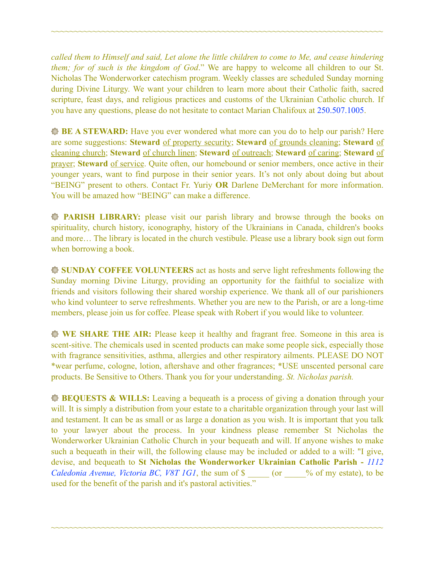*called them to Himself and said, Let alone the little children to come to Me, and cease hindering them; for of such is the kingdom of God*." We are happy to welcome all children to our St. Nicholas The Wonderworker catechism program. Weekly classes are scheduled Sunday morning during Divine Liturgy. We want your children to learn more about their Catholic faith, sacred scripture, feast days, and religious practices and customs of the Ukrainian Catholic church. If you have any questions, please do not hesitate to contact Marian Chalifoux at 250.507.1005.

~~~~~~~~~~~~~~~~~~~~~~~~~~~~~~~~~~~~~~~~~~~~~~~~~~~~~~~~~~~~~~~~~~~~~~~~

**BE A STEWARD:** Have you ever wondered what more can you do to help our parish? Here are some suggestions: **Steward** of property security; **Steward** of grounds cleaning; **Steward** of cleaning church; **Steward** of church linen; **Steward** of outreach; **Steward** of caring; **Steward** of prayer; **Steward** of service. Quite often, our homebound or senior members, once active in their younger years, want to find purpose in their senior years. It's not only about doing but about "BEING" present to others. Contact Fr. Yuriy **OR** Darlene DeMerchant for more information. You will be amazed how "BEING" can make a difference.

**PARISH LIBRARY:** please visit our parish library and browse through the books on spirituality, church history, iconography, history of the Ukrainians in Canada, children's books and more… The library is located in the church vestibule. Please use a library book sign out form when borrowing a book.

**SUNDAY COFFEE VOLUNTEERS** act as hosts and serve light refreshments following the Sunday morning Divine Liturgy, providing an opportunity for the faithful to socialize with friends and visitors following their shared worship experience. We thank all of our parishioners who kind volunteer to serve refreshments. Whether you are new to the Parish, or are a long-time members, please join us for coffee. Please speak with Robert if you would like to volunteer.

**WE SHARE THE AIR:** Please keep it healthy and fragrant free. Someone in this area is scent-sitive. The chemicals used in scented products can make some people sick, especially those with fragrance sensitivities, asthma, allergies and other respiratory ailments. PLEASE DO NOT \*wear perfume, cologne, lotion, aftershave and other fragrances; \*USE unscented personal care products. Be Sensitive to Others. Thank you for your understanding. *St. Nicholas parish.* 

**BEQUESTS & WILLS:** Leaving a bequeath is a process of giving a donation through your will. It is simply a distribution from your estate to a charitable organization through your last will and testament. It can be as small or as large a donation as you wish. It is important that you talk to your lawyer about the process. In your kindness please remember St Nicholas the Wonderworker Ukrainian Catholic Church in your bequeath and will. If anyone wishes to make such a bequeath in their will, the following clause may be included or added to a will: "I give, devise, and bequeath to **St Nicholas the Wonderworker Ukrainian Catholic Parish -** *1112 Caledonia Avenue, Victoria BC, V8T 1G1*, the sum of \$  $\degree$  (or  $\degree$  % of my estate), to be used for the benefit of the parish and it's pastoral activities."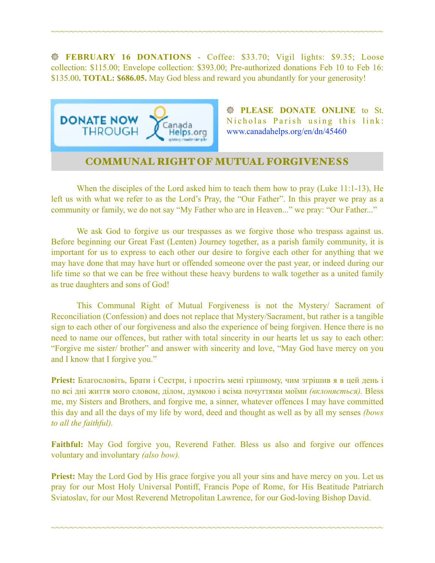**FEBRUARY 16 DONATIONS** - Coffee: \$33.70; Vigil lights: \$9.35; Loose collection: \$115.00; Envelope collection: \$393.00; Pre-authorized donations Feb 10 to Feb 16: \$135.00**. TOTAL: \$686.05.** May God bless and reward you abundantly for your generosity!

~~~~~~~~~~~~~~~~~~~~~~~~~~~~~~~~~~~~~~~~~~~~~~~~~~~~~~~~~~~~~~~~~~~~~~~~



**PLEASE DONATE ONLINE** to St. Nicholas Parish using this link: [www.canadahelps.org/en/dn/45460](http://www.canadahelps.org/en/dn/45460) 

# COMMUNAL RIGHT OF MUTUAL FORGIVENESS

 When the disciples of the Lord asked him to teach them how to pray (Luke 11:1-13), He left us with what we refer to as the Lord's Pray, the "Our Father". In this prayer we pray as a community or family, we do not say "My Father who are in Heaven..." we pray: "Our Father..."

 We ask God to forgive us our trespasses as we forgive those who trespass against us. Before beginning our Great Fast (Lenten) Journey together, as a parish family community, it is important for us to express to each other our desire to forgive each other for anything that we may have done that may have hurt or offended someone over the past year, or indeed during our life time so that we can be free without these heavy burdens to walk together as a united family as true daughters and sons of God!

 This Communal Right of Mutual Forgiveness is not the Mystery/ Sacrament of Reconciliation (Confession) and does not replace that Mystery/Sacrament, but rather is a tangible sign to each other of our forgiveness and also the experience of being forgiven. Hence there is no need to name our offences, but rather with total sincerity in our hearts let us say to each other: "Forgive me sister/ brother" and answer with sincerity and love, "May God have mercy on you and I know that I forgive you."

**Priest:** Благословіть, Брати і Сестри, і простіть мені грішному, чим згрішив я в цей день і по всі дні життя мого словом, ділом, думкою і всіма почуттями моїми *(вклоняється).* Bless me, my Sisters and Brothers, and forgive me, a sinner, whatever offences I may have committed this day and all the days of my life by word, deed and thought as well as by all my senses *(bows to all the faithful).* 

**Faithful:** May God forgive you, Reverend Father. Bless us also and forgive our offences voluntary and involuntary *(also bow).* 

**Priest:** May the Lord God by His grace forgive you all your sins and have mercy on you. Let us pray for our Most Holy Universal Pontiff, Francis Pope of Rome, for His Beatitude Patriarch Sviatoslav, for our Most Reverend Metropolitan Lawrence, for our God-loving Bishop David.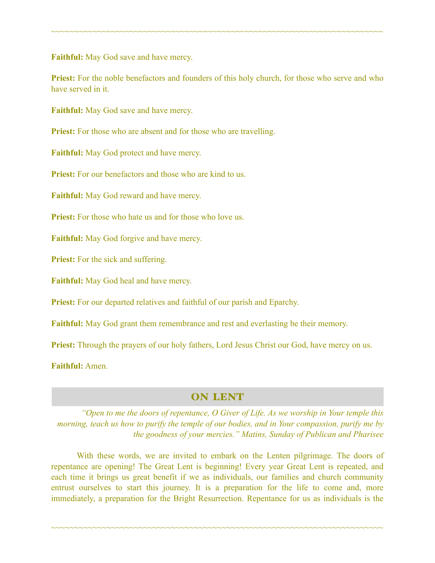**Faithful:** May God save and have mercy.

**Priest:** For the noble benefactors and founders of this holy church, for those who serve and who have served in it.

~~~~~~~~~~~~~~~~~~~~~~~~~~~~~~~~~~~~~~~~~~~~~~~~~~~~~~~~~~~~~~~~~~~~~~~~

**Faithful:** May God save and have mercy.

**Priest:** For those who are absent and for those who are travelling.

**Faithful:** May God protect and have mercy.

**Priest:** For our benefactors and those who are kind to us.

**Faithful:** May God reward and have mercy.

**Priest:** For those who hate us and for those who love us.

**Faithful:** May God forgive and have mercy.

**Priest:** For the sick and suffering.

**Faithful:** May God heal and have mercy.

**Priest:** For our departed relatives and faithful of our parish and Eparchy.

**Faithful:** May God grant them remembrance and rest and everlasting be their memory.

**Priest:** Through the prayers of our holy fathers, Lord Jesus Christ our God, have mercy on us.

**Faithful:** Amen.

### ON LENT

*"Open to me the doors of repentance, O Giver of Life. As we worship in Your temple this morning, teach us how to purify the temple of our bodies, and in Your compassion, purify me by the goodness of your mercies." Matins, Sunday of Publican and Pharisee* 

 With these words, we are invited to embark on the Lenten pilgrimage. The doors of repentance are opening! The Great Lent is beginning! Every year Great Lent is repeated, and each time it brings us great benefit if we as individuals, our families and church community entrust ourselves to start this journey. It is a preparation for the life to come and, more immediately, a preparation for the Bright Resurrection. Repentance for us as individuals is the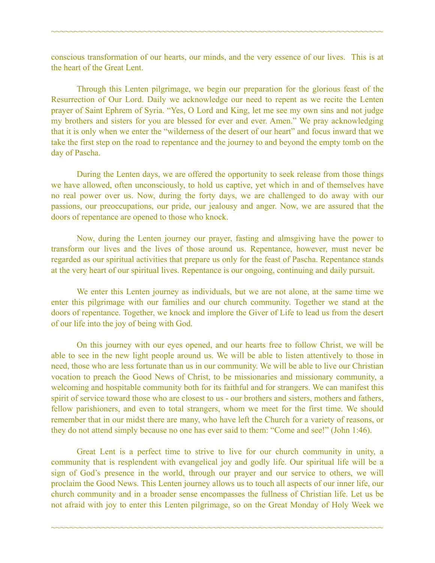conscious transformation of our hearts, our minds, and the very essence of our lives. This is at the heart of the Great Lent.

~~~~~~~~~~~~~~~~~~~~~~~~~~~~~~~~~~~~~~~~~~~~~~~~~~~~~~~~~~~~~~~~~~~~~~~~

 Through this Lenten pilgrimage, we begin our preparation for the glorious feast of the Resurrection of Our Lord. Daily we acknowledge our need to repent as we recite the Lenten prayer of Saint Ephrem of Syria. "Yes, O Lord and King, let me see my own sins and not judge my brothers and sisters for you are blessed for ever and ever. Amen." We pray acknowledging that it is only when we enter the "wilderness of the desert of our heart" and focus inward that we take the first step on the road to repentance and the journey to and beyond the empty tomb on the day of Pascha.

 During the Lenten days, we are offered the opportunity to seek release from those things we have allowed, often unconsciously, to hold us captive, yet which in and of themselves have no real power over us. Now, during the forty days, we are challenged to do away with our passions, our preoccupations, our pride, our jealousy and anger. Now, we are assured that the doors of repentance are opened to those who knock.

 Now, during the Lenten journey our prayer, fasting and almsgiving have the power to transform our lives and the lives of those around us. Repentance, however, must never be regarded as our spiritual activities that prepare us only for the feast of Pascha. Repentance stands at the very heart of our spiritual lives. Repentance is our ongoing, continuing and daily pursuit.

 We enter this Lenten journey as individuals, but we are not alone, at the same time we enter this pilgrimage with our families and our church community. Together we stand at the doors of repentance. Together, we knock and implore the Giver of Life to lead us from the desert of our life into the joy of being with God.

 On this journey with our eyes opened, and our hearts free to follow Christ, we will be able to see in the new light people around us. We will be able to listen attentively to those in need, those who are less fortunate than us in our community. We will be able to live our Christian vocation to preach the Good News of Christ, to be missionaries and missionary community, a welcoming and hospitable community both for its faithful and for strangers. We can manifest this spirit of service toward those who are closest to us - our brothers and sisters, mothers and fathers, fellow parishioners, and even to total strangers, whom we meet for the first time. We should remember that in our midst there are many, who have left the Church for a variety of reasons, or they do not attend simply because no one has ever said to them: "Come and see!" (John 1:46).

 Great Lent is a perfect time to strive to live for our church community in unity, a community that is resplendent with evangelical joy and godly life. Our spiritual life will be a sign of God's presence in the world, through our prayer and our service to others, we will proclaim the Good News. This Lenten journey allows us to touch all aspects of our inner life, our church community and in a broader sense encompasses the fullness of Christian life. Let us be not afraid with joy to enter this Lenten pilgrimage, so on the Great Monday of Holy Week we